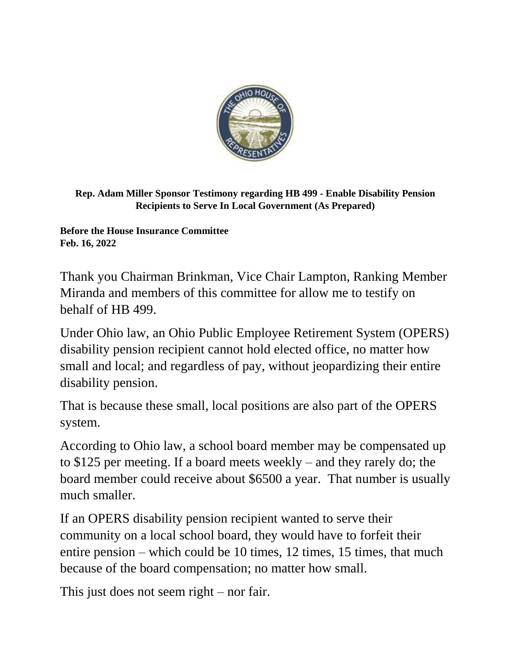

**Rep. Adam Miller Sponsor Testimony regarding HB 499 - Enable Disability Pension Recipients to Serve In Local Government (As Prepared)**

**Before the House Insurance Committee Feb. 16, 2022**

Thank you Chairman Brinkman, Vice Chair Lampton, Ranking Member Miranda and members of this committee for allow me to testify on behalf of HB 499.

Under Ohio law, an Ohio Public Employee Retirement System (OPERS) disability pension recipient cannot hold elected office, no matter how small and local; and regardless of pay, without jeopardizing their entire disability pension.

That is because these small, local positions are also part of the OPERS system.

According to Ohio law, a school board member may be compensated up to \$125 per meeting. If a board meets weekly – and they rarely do; the board member could receive about \$6500 a year. That number is usually much smaller.

If an OPERS disability pension recipient wanted to serve their community on a local school board, they would have to forfeit their entire pension – which could be 10 times, 12 times, 15 times, that much because of the board compensation; no matter how small.

This just does not seem right – nor fair.